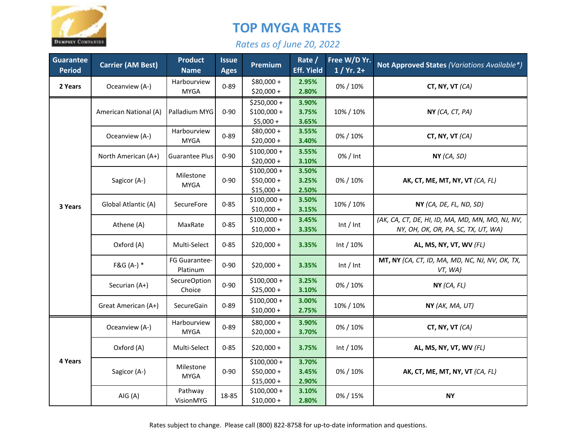

## **TOP MYGA RATES**

## *Rates as of June 20, 2022*

| Guarantee<br><b>Period</b> | <b>Carrier (AM Best)</b> | <b>Product</b><br><b>Name</b> | <b>Issue</b><br><b>Ages</b> | Premium                                    | Rate /<br><b>Eff. Yield</b> | Free W/D Yr.<br>$1/ Yr. 2+$ | <b>Not Approved States (Variations Available*)</b>                                      |
|----------------------------|--------------------------|-------------------------------|-----------------------------|--------------------------------------------|-----------------------------|-----------------------------|-----------------------------------------------------------------------------------------|
| 2 Years                    | Oceanview (A-)           | Harbourview<br><b>MYGA</b>    | $0 - 89$                    | \$80,000+<br>$$20,000 +$                   | 2.95%<br>2.80%              | 0% / 10%                    | CT, NY, VT $(CA)$                                                                       |
| 3 Years                    | American National (A)    | Palladium MYG                 | $0 - 90$                    | \$250,000+<br>$$100,000 +$<br>$$5,000+$    | 3.90%<br>3.75%<br>3.65%     | 10% / 10%                   | NY (CA, CT, PA)                                                                         |
|                            | Oceanview (A-)           | Harbourview<br><b>MYGA</b>    | $0 - 89$                    | $$80,000 +$<br>$$20,000+$                  | 3.55%<br>3.40%              | 0% / 10%                    | CT, NY, VT (CA)                                                                         |
|                            | North American (A+)      | <b>Guarantee Plus</b>         | $0 - 90$                    | $$100,000 +$<br>$$20,000+$                 | 3.55%<br>3.10%              | 0% / Int                    | NY (CA, SD)                                                                             |
|                            | Sagicor (A-)             | Milestone<br><b>MYGA</b>      | $0 - 90$                    | $$100,000 +$<br>$$50,000 +$<br>$$15,000 +$ | 3.50%<br>3.25%<br>2.50%     | 0% / 10%                    | AK, CT, ME, MT, NY, VT (CA, FL)                                                         |
|                            | Global Atlantic (A)      | SecureFore                    | $0 - 85$                    | $$100,000 +$<br>$$10,000 +$                | 3.50%<br>3.15%              | 10% / 10%                   | NY (CA, DE, FL, ND, SD)                                                                 |
|                            | Athene (A)               | MaxRate                       | $0 - 85$                    | $$100,000 +$<br>$$10,000 +$                | 3.45%<br>3.35%              | Int / Int                   | (AK, CA, CT, DE, HI, ID, MA, MD, MN, MO, NJ, NV,<br>NY, OH, OK, OR, PA, SC, TX, UT, WA) |
|                            | Oxford (A)               | Multi-Select                  | $0 - 85$                    | $$20,000+$                                 | 3.35%                       | Int $/10%$                  | AL, MS, NY, VT, WV (FL)                                                                 |
|                            | $F&G(A-)$ *              | FG Guarantee-<br>Platinum     | $0 - 90$                    | $$20,000+$                                 | 3.35%                       | Int / Int                   | MT, NY (CA, CT, ID, MA, MD, NC, NJ, NV, OK, TX,<br>VT, WA)                              |
|                            | Securian (A+)            | <b>SecureOption</b><br>Choice | $0 - 90$                    | $$100,000 +$<br>$$25,000+$                 | 3.25%<br>3.10%              | 0% / 10%                    | NY (CA, FL)                                                                             |
|                            | Great American (A+)      | SecureGain                    | $0 - 89$                    | $$100,000 +$<br>$$10,000 +$                | 3.00%<br>2.75%              | 10% / 10%                   | NY (AK, MA, UT)                                                                         |
| 4 Years                    | Oceanview (A-)           | Harbourview<br><b>MYGA</b>    | $0 - 89$                    | $$80,000 +$<br>\$20,000+                   | 3.90%<br>3.70%              | 0% / 10%                    | CT, NY, VT (CA)                                                                         |
|                            | Oxford (A)               | Multi-Select                  | $0 - 85$                    | $$20,000 +$                                | 3.75%                       | Int $/10%$                  | AL, MS, NY, VT, WV (FL)                                                                 |
|                            | Sagicor (A-)             | Milestone<br><b>MYGA</b>      | $0 - 90$                    | $$100,000 +$<br>$$50,000 +$<br>$$15,000 +$ | 3.70%<br>3.45%<br>2.90%     | 0%/10%                      | AK, CT, ME, MT, NY, VT (CA, FL)                                                         |
|                            | AIG (A)                  | Pathway<br>VisionMYG          | 18-85                       | $$100,000 +$<br>$$10,000 +$                | 3.10%<br>2.80%              | 0% / 15%                    | <b>NY</b>                                                                               |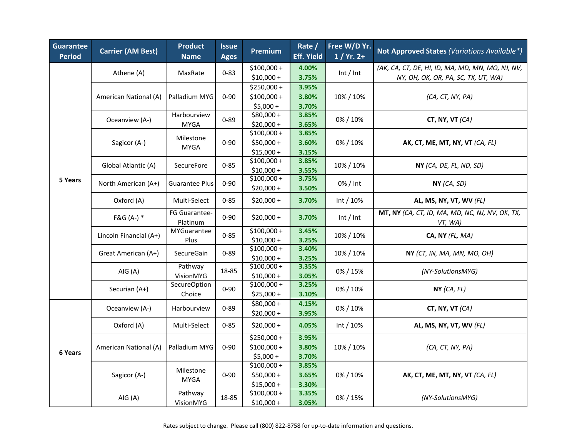| Guarantee<br><b>Period</b> | <b>Carrier (AM Best)</b>                      | <b>Product</b><br><b>Name</b>                    | <b>Issue</b><br><b>Ages</b> | Premium                     | Rate /<br><b>Eff. Yield</b> | Free W/D Yr.<br>$1/ Yr. 2+$ | Not Approved States (Variations Available*)                |
|----------------------------|-----------------------------------------------|--------------------------------------------------|-----------------------------|-----------------------------|-----------------------------|-----------------------------|------------------------------------------------------------|
|                            | Athene (A)                                    | MaxRate                                          | $0 - 83$                    | $$100,000 +$                | 4.00%                       |                             | (AK, CA, CT, DE, HI, ID, MA, MD, MN, MO, NJ, NV,           |
|                            |                                               |                                                  |                             | $$10,000+$                  | 3.75%                       | Int / Int                   | NY, OH, OK, OR, PA, SC, TX, UT, WA)                        |
|                            |                                               |                                                  | $0 - 90$<br>$0 - 89$        | $$250,000+$                 | 3.95%                       | 10% / 10%                   |                                                            |
|                            | American National (A)<br>Oceanview (A-)       | Palladium MYG<br>Harbourview<br><b>MYGA</b>      |                             | $$100,000 +$                | 3.80%                       |                             | (CA, CT, NY, PA)                                           |
|                            |                                               |                                                  |                             | $$5,000 +$                  | 3.70%                       |                             |                                                            |
|                            |                                               |                                                  |                             | $$80,000 +$                 | 3.85%                       | 0% / 10%                    | CT, NY, VT (CA)                                            |
|                            |                                               |                                                  |                             | $$20,000+$                  | 3.65%                       |                             |                                                            |
|                            |                                               | Milestone                                        | $0 - 90$                    | $$100,000 +$<br>\$50,000+   | 3.85%<br>3.60%              | 0% / 10%                    |                                                            |
|                            | Sagicor (A-)                                  | <b>MYGA</b>                                      |                             | $$15,000 +$                 | 3.15%                       |                             | <b>AK, CT, ME, MT, NY, VT</b> ( <i>CA, FL</i> )            |
|                            |                                               | SecureFore                                       | $0 - 85$                    | $$100,000 +$                | 3.85%                       | 10% / 10%                   |                                                            |
|                            | Global Atlantic (A)                           |                                                  |                             | $$10,000 +$                 | 3.55%                       |                             | NY (CA, DE, FL, ND, SD)                                    |
| 5 Years                    |                                               | <b>Guarantee Plus</b>                            | $0 - 90$                    | $$100,000 +$                | 3.75%                       | 0% / Int                    | NY (CA, SD)                                                |
|                            | North American (A+)                           |                                                  |                             | $$20,000 +$                 | 3.50%                       |                             |                                                            |
|                            | Oxford (A)                                    | Multi-Select                                     | $0 - 85$                    | $$20,000+$                  | 3.70%                       | Int / 10%                   | AL, MS, NY, VT, WV (FL)                                    |
|                            | F&G (A-) *                                    | FG Guarantee-<br>Platinum                        | $0 - 90$                    | $$20,000+$                  | 3.70%                       | Int / Int                   | MT, NY (CA, CT, ID, MA, MD, NC, NJ, NV, OK, TX,<br>VT, WA) |
|                            | Lincoln Financial (A+)<br>Great American (A+) | MYGuarantee<br>Plus<br>SecureGain                | $0 - 85$                    | $$100,000 +$                | 3.45%                       | 10% / 10%                   | CA, NY (FL, MA)                                            |
|                            |                                               |                                                  |                             | $$10,000 +$<br>$$100,000 +$ | 3.25%                       |                             |                                                            |
|                            |                                               |                                                  | $0 - 89$                    | $$10,000 +$                 | 3.40%<br>3.25%              | 10% / 10%                   | NY (CT, IN, MA, MN, MO, OH)                                |
|                            | AIG (A)                                       | Pathway                                          |                             | $$100,000 +$                | 3.35%                       |                             | (NY-SolutionsMYG)                                          |
|                            |                                               | VisionMYG                                        | 18-85                       | $$10,000 +$                 | 3.05%                       | 0% / 15%                    |                                                            |
|                            | Securian (A+)                                 | SecureOption<br>Choice                           | $0 - 90$                    | $$100,000 +$                | 3.25%                       | 0% / 10%                    | NY (CA, FL)                                                |
|                            |                                               |                                                  |                             | $$25,000 +$                 | 3.10%                       |                             |                                                            |
|                            | Oceanview (A-)                                | Harbourview                                      | $0 - 89$                    | $$80,000 +$                 | 4.15%                       | 0% / 10%                    | CT, NY, VT (CA)                                            |
| 6 Years                    |                                               |                                                  |                             | $$20,000 +$                 | 3.95%                       |                             |                                                            |
|                            | Oxford (A)                                    | Multi-Select                                     | $0 - 85$                    | $$20,000 +$                 | 4.05%                       | Int $/10%$                  | AL, MS, NY, VT, WV (FL)                                    |
|                            | American National (A)                         | Palladium MYG                                    | $0 - 90$                    | $$250,000+$                 | 3.95%                       | 10% / 10%                   |                                                            |
|                            |                                               |                                                  |                             | $$100,000 +$                | 3.80%                       |                             | (CA, CT, NY, PA)                                           |
|                            |                                               |                                                  |                             | $$5,000+$                   | 3.70%                       |                             |                                                            |
|                            | Sagicor (A-)<br>AIG (A)                       | Milestone<br><b>MYGA</b><br>Pathway<br>VisionMYG | $0 - 90$<br>18-85           | $$100,000 +$                | 3.85%                       | 0% / 10%<br>0% / 15%        |                                                            |
|                            |                                               |                                                  |                             | $$50,000 +$                 | 3.65%                       |                             | <b>AK, CT, ME, MT, NY, VT</b> ( <i>CA, FL</i> )            |
|                            |                                               |                                                  |                             | $$15,000 +$                 | 3.30%                       |                             |                                                            |
|                            |                                               |                                                  |                             | $$100,000 +$                | 3.35%                       |                             | (NY-SolutionsMYG)                                          |
|                            |                                               |                                                  |                             | $$10,000 +$                 | 3.05%                       |                             |                                                            |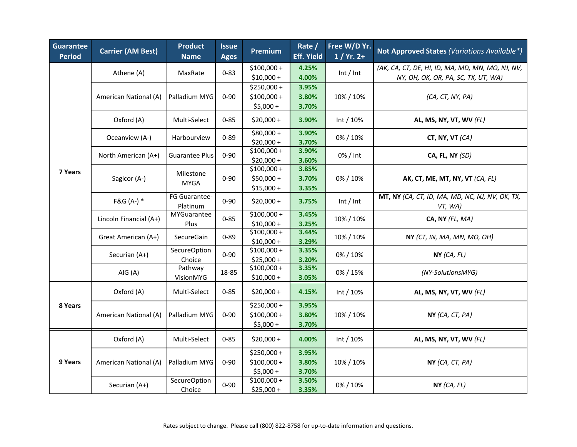| Guarantee<br><b>Period</b> | <b>Carrier (AM Best)</b> | <b>Product</b><br><b>Name</b> | <b>Issue</b><br><b>Ages</b> | Premium                                   | Rate /<br><b>Eff. Yield</b> | Free W/D Yr.<br>$1/ Yr. 2+$ | Not Approved States (Variations Available*)                                             |
|----------------------------|--------------------------|-------------------------------|-----------------------------|-------------------------------------------|-----------------------------|-----------------------------|-----------------------------------------------------------------------------------------|
|                            | Athene (A)               | MaxRate                       | $0 - 83$                    | $$100,000 +$<br>$$10,000+$                | 4.25%<br>4.00%              | Int / Int                   | (AK, CA, CT, DE, HI, ID, MA, MD, MN, MO, NJ, NV,<br>NY, OH, OK, OR, PA, SC, TX, UT, WA) |
|                            | American National (A)    | Palladium MYG                 | $0 - 90$                    | \$250,000 +<br>$$100,000 +$<br>$$5,000 +$ | 3.95%<br>3.80%<br>3.70%     | 10% / 10%                   | (CA, CT, NY, PA)                                                                        |
|                            | Oxford (A)               | Multi-Select                  | $0 - 85$                    | $$20,000+$                                | 3.90%                       | Int / 10%                   | AL, MS, NY, VT, WV (FL)                                                                 |
| 7 Years                    | Oceanview (A-)           | Harbourview                   | $0 - 89$                    | $$80,000 +$<br>$$20,000+$                 | 3.90%<br>3.70%              | 0% / 10%                    | CT, NY, VT $(CA)$                                                                       |
|                            | North American (A+)      | <b>Guarantee Plus</b>         | $0 - 90$                    | $$100,000 +$<br>$$20,000+$                | 3.90%<br>3.60%              | 0% / Int                    | CA, FL, NY (SD)                                                                         |
|                            | Sagicor (A-)             | Milestone<br><b>MYGA</b>      | $0 - 90$                    | \$100,000+<br>$$50,000 +$<br>$$15,000 +$  | 3.85%<br>3.70%<br>3.35%     | 0%/10%                      | AK, CT, ME, MT, NY, VT (CA, FL)                                                         |
|                            | $F&G(A-)$ *              | FG Guarantee-<br>Platinum     | $0 - 90$                    | $$20,000 +$                               | 3.75%                       | Int / Int                   | MT, NY (CA, CT, ID, MA, MD, NC, NJ, NV, OK, TX,<br>VT, WA)                              |
|                            | Lincoln Financial (A+)   | MYGuarantee<br>Plus           | $0 - 85$                    | $$100,000 +$<br>$$10,000 +$               | 3.45%<br>3.25%              | 10% / 10%                   | CA, NY (FL, MA)                                                                         |
|                            | Great American (A+)      | SecureGain                    | $0 - 89$                    | $$100,000 +$<br>$$10,000 +$               | 3.44%<br>3.29%              | 10% / 10%                   | NY (CT, IN, MA, MN, MO, OH)                                                             |
|                            | Securian (A+)            | SecureOption<br>Choice        | $0 - 90$                    | $$100,000 +$<br>$$25,000 +$               | 3.35%<br>3.20%              | 0% / 10%                    | NY(CA, FL)                                                                              |
|                            | AIG(A)                   | Pathway<br>VisionMYG          | 18-85                       | $$100,000 +$<br>$$10,000 +$               | 3.35%<br>3.05%              | 0% / 15%                    | (NY-SolutionsMYG)                                                                       |
| 8 Years                    | Oxford (A)               | Multi-Select                  | $0 - 85$                    | $$20,000+$                                | 4.15%                       | Int $/10%$                  | AL, MS, NY, VT, WV (FL)                                                                 |
|                            | American National (A)    | Palladium MYG                 | $0 - 90$                    | \$250,000 +<br>$$100,000 +$<br>$$5,000 +$ | 3.95%<br>3.80%<br>3.70%     | 10% / 10%                   | NY (CA, CT, PA)                                                                         |
| 9 Years                    | Oxford (A)               | Multi-Select                  | $0 - 85$                    | $$20,000 +$                               | 4.00%                       | Int $/ 10%$                 | AL, MS, NY, VT, WV (FL)                                                                 |
|                            | American National (A)    | Palladium MYG                 | $0 - 90$                    | \$250,000 +<br>$$100,000 +$<br>$$5,000 +$ | 3.95%<br>3.80%<br>3.70%     | 10% / 10%                   | NY (CA, CT, PA)                                                                         |
|                            | Securian (A+)            | <b>SecureOption</b><br>Choice | $0 - 90$                    | $$100,000 +$<br>$$25,000 +$               | 3.50%<br>3.35%              | 0% / 10%                    | NY(CA, FL)                                                                              |